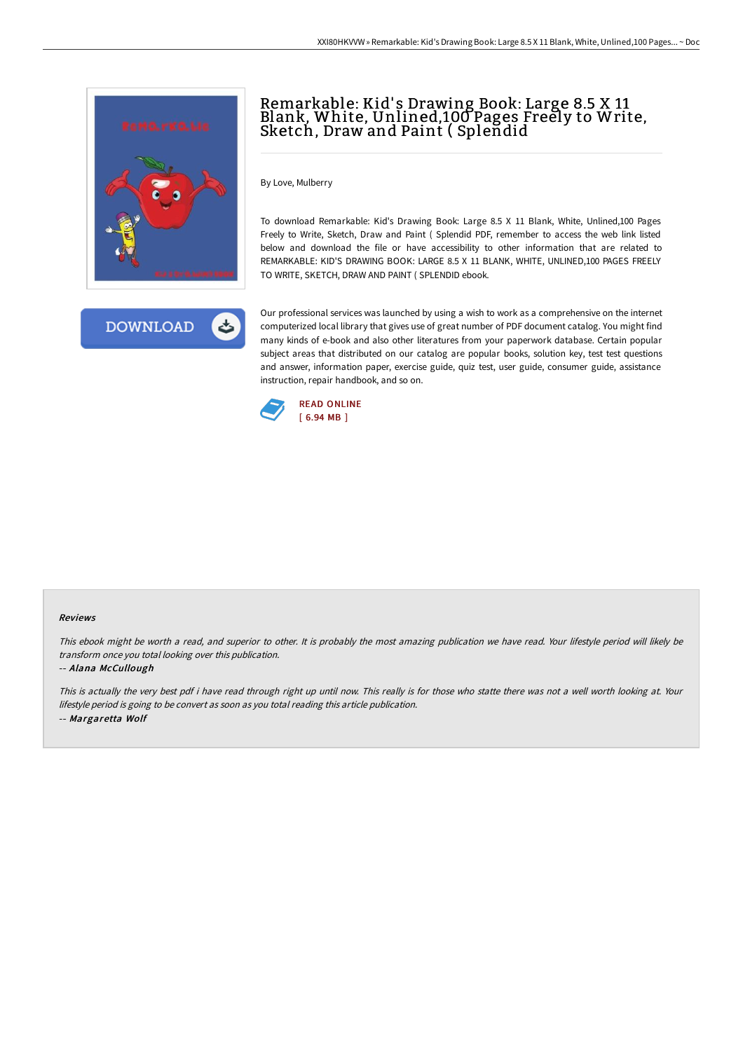



# Remarkable: Kid' s Drawing Book: Large 8.5 X 11 Blank, White, Unlined,100 Pages Freely to Write, Sketch, Draw and Paint ( Splendid

By Love, Mulberry

To download Remarkable: Kid's Drawing Book: Large 8.5 X 11 Blank, White, Unlined,100 Pages Freely to Write, Sketch, Draw and Paint ( Splendid PDF, remember to access the web link listed below and download the file or have accessibility to other information that are related to REMARKABLE: KID'S DRAWING BOOK: LARGE 8.5 X 11 BLANK, WHITE, UNLINED,100 PAGES FREELY TO WRITE, SKETCH, DRAW AND PAINT ( SPLENDID ebook.

Our professional services was launched by using a wish to work as a comprehensive on the internet computerized local library that gives use of great number of PDF document catalog. You might find many kinds of e-book and also other literatures from your paperwork database. Certain popular subject areas that distributed on our catalog are popular books, solution key, test test questions and answer, information paper, exercise guide, quiz test, user guide, consumer guide, assistance instruction, repair handbook, and so on.



#### Reviews

This ebook might be worth <sup>a</sup> read, and superior to other. It is probably the most amazing publication we have read. Your lifestyle period will likely be transform once you total looking over this publication.

#### -- Alana McCullough

This is actually the very best pdf i have read through right up until now. This really is for those who statte there was not <sup>a</sup> well worth looking at. Your lifestyle period is going to be convert as soon as you total reading this article publication. -- Margaretta Wolf